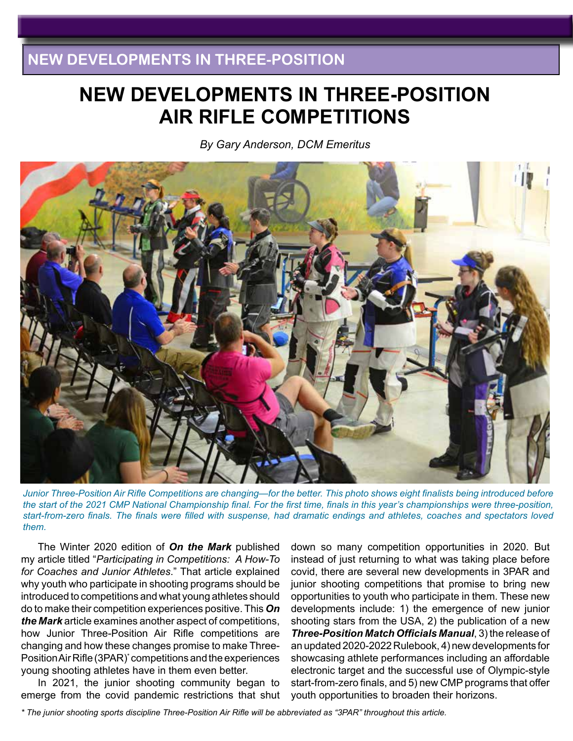# **NEW DEVELOPMENTS IN THREE-POSITION AIR RIFLE COMPETITIONS**

*By Gary Anderson, DCM Emeritus*



*Junior Three-Position Air Rifle Competitions are changing—for the better. This photo shows eight finalists being introduced before the start of the 2021 CMP National Championship final. For the first time, finals in this year's championships were three-position, start-from-zero finals. The finals were filled with suspense, had dramatic endings and athletes, coaches and spectators loved them.* 

The Winter 2020 edition of *On the Mark* published my article titled "*Participating in Competitions: A How-To for Coaches and Junior Athletes*." That article explained why youth who participate in shooting programs should be introduced to competitions and what young athletes should do to make their competition experiences positive. This *On the Mark* article examines another aspect of competitions, how Junior Three-Position Air Rifle competitions are changing and how these changes promise to make Three-Position Air Rifle (3PAR)\* competitions and the experiences young shooting athletes have in them even better.

In 2021, the junior shooting community began to emerge from the covid pandemic restrictions that shut

down so many competition opportunities in 2020. But instead of just returning to what was taking place before covid, there are several new developments in 3PAR and junior shooting competitions that promise to bring new opportunities to youth who participate in them. These new developments include: 1) the emergence of new junior shooting stars from the USA, 2) the publication of a new *Three-Position Match Officials Manual*, 3) the release of an updated 2020-2022 Rulebook, 4) new developments for showcasing athlete performances including an affordable electronic target and the successful use of Olympic-style start-from-zero finals, and 5) new CMP programs that offer youth opportunities to broaden their horizons.

*\* The junior shooting sports discipline Three-Position Air Rifle will be abbreviated as "3PAR" throughout this article.*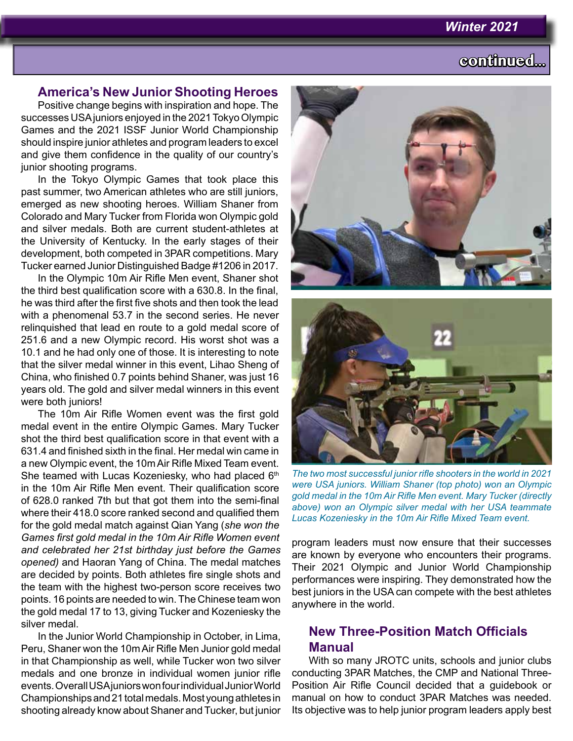#### *Winter 2021*

# **continued...**

### **America's New Junior Shooting Heroes**

Positive change begins with inspiration and hope. The successes USA juniors enjoyed in the 2021 Tokyo Olympic Games and the 2021 ISSF Junior World Championship should inspire junior athletes and program leaders to excel and give them confidence in the quality of our country's junior shooting programs.

In the Tokyo Olympic Games that took place this past summer, two American athletes who are still juniors, emerged as new shooting heroes. William Shaner from Colorado and Mary Tucker from Florida won Olympic gold and silver medals. Both are current student-athletes at the University of Kentucky. In the early stages of their development, both competed in 3PAR competitions. Mary Tucker earned Junior Distinguished Badge #1206 in 2017.

In the Olympic 10m Air Rifle Men event, Shaner shot the third best qualification score with a 630.8. In the final, he was third after the first five shots and then took the lead with a phenomenal 53.7 in the second series. He never relinquished that lead en route to a gold medal score of 251.6 and a new Olympic record. His worst shot was a 10.1 and he had only one of those. It is interesting to note that the silver medal winner in this event, Lihao Sheng of China, who finished 0.7 points behind Shaner, was just 16 years old. The gold and silver medal winners in this event were both juniors!

The 10m Air Rifle Women event was the first gold medal event in the entire Olympic Games. Mary Tucker shot the third best qualification score in that event with a 631.4 and finished sixth in the final. Her medal win came in a new Olympic event, the 10m Air Rifle Mixed Team event. She teamed with Lucas Kozeniesky, who had placed 6<sup>th</sup> in the 10m Air Rifle Men event. Their qualification score of 628.0 ranked 7th but that got them into the semi-final where their 418.0 score ranked second and qualified them for the gold medal match against Qian Yang (*she won the Games first gold medal in the 10m Air Rifle Women event and celebrated her 21st birthday just before the Games opened)* and Haoran Yang of China. The medal matches are decided by points. Both athletes fire single shots and the team with the highest two-person score receives two points. 16 points are needed to win. The Chinese team won the gold medal 17 to 13, giving Tucker and Kozeniesky the silver medal.

In the Junior World Championship in October, in Lima, Peru, Shaner won the 10m Air Rifle Men Junior gold medal in that Championship as well, while Tucker won two silver medals and one bronze in individual women junior rifle events. Overall USA juniors won four individual Junior World Championships and 21 total medals. Most young athletes in shooting already know about Shaner and Tucker, but junior





*The two most successful junior rifle shooters in the world in 2021 were USA juniors. William Shaner (top photo) won an Olympic gold medal in the 10m Air Rifle Men event. Mary Tucker (directly above) won an Olympic silver medal with her USA teammate Lucas Kozeniesky in the 10m Air Rifle Mixed Team event.* 

program leaders must now ensure that their successes are known by everyone who encounters their programs. Their 2021 Olympic and Junior World Championship performances were inspiring. They demonstrated how the best juniors in the USA can compete with the best athletes anywhere in the world.

## **New Three-Position Match Officials Manual**

With so many JROTC units, schools and junior clubs conducting 3PAR Matches, the CMP and National Three-Position Air Rifle Council decided that a guidebook or manual on how to conduct 3PAR Matches was needed. Its objective was to help junior program leaders apply best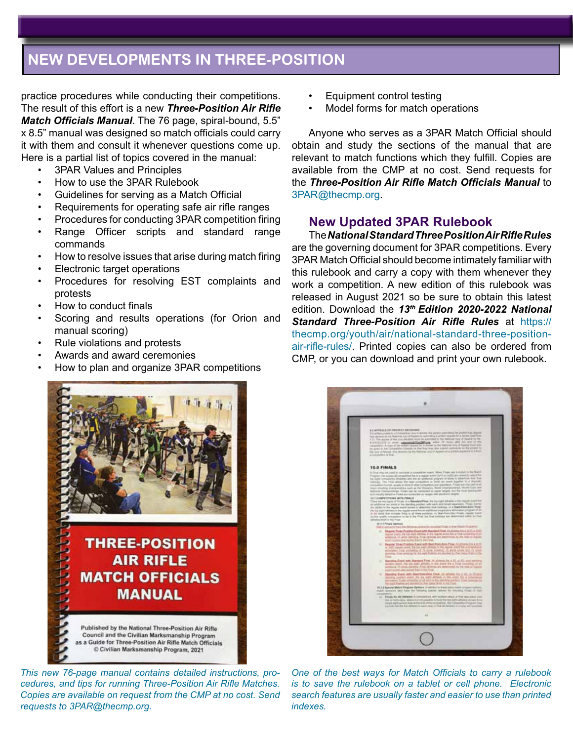## **NEW DEVELOPMENTS IN THREE-POSITION**

practice procedures while conducting their competitions. The result of this effort is a new *Three-Position Air Rifle Match Officials Manual*. The 76 page, spiral-bound, 5.5" x 8.5" manual was designed so match officials could carry it with them and consult it whenever questions come up. Here is a partial list of topics covered in the manual:

- 3PAR Values and Principles
- How to use the 3PAR Rulebook
- Guidelines for serving as a Match Official
- Requirements for operating safe air rifle ranges
- Procedures for conducting 3PAR competition firing
- Range Officer scripts and standard range commands
- How to resolve issues that arise during match firing
- Electronic target operations
- Procedures for resolving EST complaints and protests
- How to conduct finals
- Scoring and results operations (for Orion and manual scoring)
- Rule violations and protests
- Awards and award ceremonies
- How to plan and organize 3PAR competitions
	- **THREE-POSITION AIR RIFLE MATCH OFFICIALS MANUAL** Published by the National Three-Position Air Rifle Council and the Civilian Marksmanship Program as a Guide for Three-Position Air Rifle Match Officials C Civilian Marksmanship Program, 2021

*This new 76-page manual contains detailed instructions, procedures, and tips for running Three-Position Air Rifle Matches. Copies are available on request from the CMP at no cost. Send requests to 3PAR@thecmp.org.* 

- Equipment control testing
- Model forms for match operations

Anyone who serves as a 3PAR Match Official should obtain and study the sections of the manual that are relevant to match functions which they fulfill. Copies are available from the CMP at no cost. Send requests for the *Three-Position Air Rifle Match Officials Manual* to 3PAR@thecmp.org.

## **New Updated 3PAR Rulebook**

The *National Standard Three Position Air Rifle Rules* are the governing document for 3PAR competitions. Every 3PAR Match Official should become intimately familiar with this rulebook and carry a copy with them whenever they work a competition. A new edition of this rulebook was released in August 2021 so be sure to obtain this latest edition. Download the *13th Edition 2020-2022 National Standard Three-Position Air Rifle Rules* at https:// thecmp.org/youth/air/national-standard-three-positionair-rifle-rules/. Printed copies can also be ordered from CMP, or you can download and print your own rulebook.



*One of the best ways for Match Officials to carry a rulebook is to save the rulebook on a tablet or cell phone. Electronic search features are usually faster and easier to use than printed indexes.*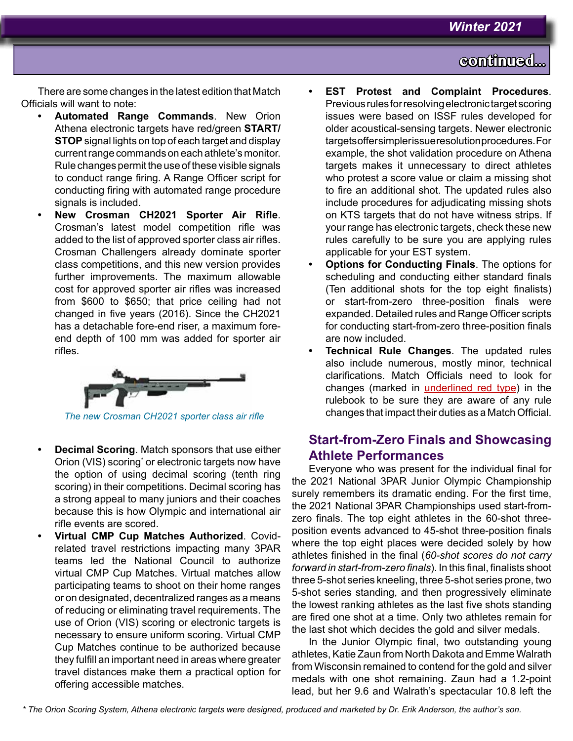# **continued...**

There are some changes in the latest edition that Match Officials will want to note:

- **• Automated Range Commands**. New Orion Athena electronic targets have red/green **START/ STOP** signal lights on top of each target and display current range commands on each athlete's monitor. Rule changes permit the use of these visible signals to conduct range firing. A Range Officer script for conducting firing with automated range procedure signals is included.
- **• New Crosman CH2021 Sporter Air Rifle**. Crosman's latest model competition rifle was added to the list of approved sporter class air rifles. Crosman Challengers already dominate sporter class competitions, and this new version provides further improvements. The maximum allowable cost for approved sporter air rifles was increased from \$600 to \$650; that price ceiling had not changed in five years (2016). Since the CH2021 has a detachable fore-end riser, a maximum foreend depth of 100 mm was added for sporter air rifles.



*The new Crosman CH2021 sporter class air rifle*

- **• Decimal Scoring**. Match sponsors that use either Orion (VIS) scoring<sup>\*</sup> or electronic targets now have the option of using decimal scoring (tenth ring scoring) in their competitions. Decimal scoring has a strong appeal to many juniors and their coaches because this is how Olympic and international air rifle events are scored.
- **• Virtual CMP Cup Matches Authorized**. Covidrelated travel restrictions impacting many 3PAR teams led the National Council to authorize virtual CMP Cup Matches. Virtual matches allow participating teams to shoot on their home ranges or on designated, decentralized ranges as a means of reducing or eliminating travel requirements. The use of Orion (VIS) scoring or electronic targets is necessary to ensure uniform scoring. Virtual CMP Cup Matches continue to be authorized because they fulfill an important need in areas where greater travel distances make them a practical option for offering accessible matches.
- **• EST Protest and Complaint Procedures**. Previous rules for resolving electronic target scoring issues were based on ISSF rules developed for older acoustical-sensing targets. Newer electronic targets offer simpler issue resolution procedures. For example, the shot validation procedure on Athena targets makes it unnecessary to direct athletes who protest a score value or claim a missing shot to fire an additional shot. The updated rules also include procedures for adjudicating missing shots on KTS targets that do not have witness strips. If your range has electronic targets, check these new rules carefully to be sure you are applying rules applicable for your EST system.
- **• Options for Conducting Finals**. The options for scheduling and conducting either standard finals (Ten additional shots for the top eight finalists) or start-from-zero three-position finals were expanded. Detailed rules and Range Officer scripts for conducting start-from-zero three-position finals are now included.
- **• Technical Rule Changes**. The updated rules also include numerous, mostly minor, technical clarifications. Match Officials need to look for changes (marked in underlined red type) in the rulebook to be sure they are aware of any rule changes that impact their duties as a Match Official.

## **Start-from-Zero Finals and Showcasing Athlete Performances**

Everyone who was present for the individual final for the 2021 National 3PAR Junior Olympic Championship surely remembers its dramatic ending. For the first time, the 2021 National 3PAR Championships used start-fromzero finals. The top eight athletes in the 60-shot threeposition events advanced to 45-shot three-position finals where the top eight places were decided solely by how athletes finished in the final (*60-shot scores do not carry forward in start-from-zero finals*). In this final, finalists shoot three 5-shot series kneeling, three 5-shot series prone, two 5-shot series standing, and then progressively eliminate the lowest ranking athletes as the last five shots standing are fired one shot at a time. Only two athletes remain for the last shot which decides the gold and silver medals.

In the Junior Olympic final, two outstanding young athletes, Katie Zaun from North Dakota and Emme Walrath from Wisconsin remained to contend for the gold and silver medals with one shot remaining. Zaun had a 1.2-point lead, but her 9.6 and Walrath's spectacular 10.8 left the

*\* The Orion Scoring System, Athena electronic targets were designed, produced and marketed by Dr. Erik Anderson, the author's son.*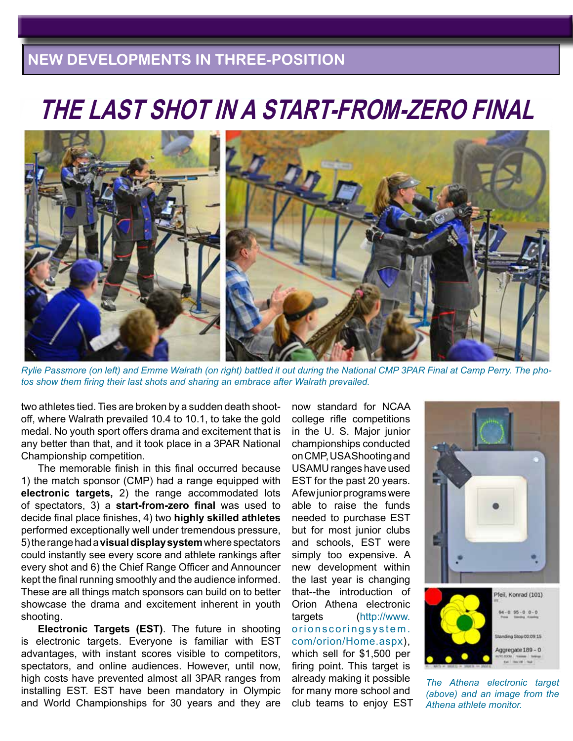# **NEW DEVELOPMENTS IN THREE-POSITION**

# **THE LAST SHOT IN A START-FROM-ZERO FINAL**



*Rylie Passmore (on left) and Emme Walrath (on right) battled it out during the National CMP 3PAR Final at Camp Perry. The photos show them firing their last shots and sharing an embrace after Walrath prevailed.*

two athletes tied. Ties are broken by a sudden death shootoff, where Walrath prevailed 10.4 to 10.1, to take the gold medal. No youth sport offers drama and excitement that is any better than that, and it took place in a 3PAR National Championship competition.

The memorable finish in this final occurred because 1) the match sponsor (CMP) had a range equipped with **electronic targets,** 2) the range accommodated lots of spectators, 3) a **start-from-zero final** was used to decide final place finishes, 4) two **highly skilled athletes** performed exceptionally well under tremendous pressure, 5) the range had a **visual display system** where spectators could instantly see every score and athlete rankings after every shot and 6) the Chief Range Officer and Announcer kept the final running smoothly and the audience informed. These are all things match sponsors can build on to better showcase the drama and excitement inherent in youth shooting.

**Electronic Targets (EST)**. The future in shooting is electronic targets. Everyone is familiar with EST advantages, with instant scores visible to competitors, spectators, and online audiences. However, until now, high costs have prevented almost all 3PAR ranges from installing EST. EST have been mandatory in Olympic and World Championships for 30 years and they are now standard for NCAA college rifle competitions in the U. S. Major junior championships conducted on CMP, USA Shooting and USAMU ranges have used EST for the past 20 years. A few junior programs were able to raise the funds needed to purchase EST but for most junior clubs and schools, EST were simply too expensive. A new development within the last year is changing that--the introduction of Orion Athena electronic targets (http://www. orionscoringsystem. com/orion/Home.aspx), which sell for \$1,500 per firing point. This target is already making it possible for many more school and club teams to enjoy EST





*The Athena electronic target (above) and an image from the Athena athlete monitor.*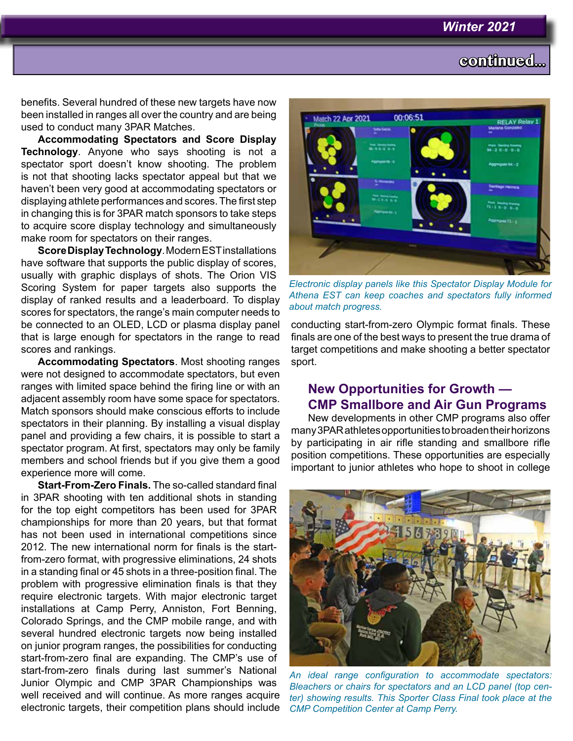# **continued...**

benefits. Several hundred of these new targets have now been installed in ranges all over the country and are being used to conduct many 3PAR Matches.

**Accommodating Spectators and Score Display Technology**. Anyone who says shooting is not a spectator sport doesn't know shooting. The problem is not that shooting lacks spectator appeal but that we haven't been very good at accommodating spectators or displaying athlete performances and scores. The first step in changing this is for 3PAR match sponsors to take steps to acquire score display technology and simultaneously make room for spectators on their ranges.

**Score Display Technology**. Modern EST installations have software that supports the public display of scores, usually with graphic displays of shots. The Orion VIS Scoring System for paper targets also supports the display of ranked results and a leaderboard. To display scores for spectators, the range's main computer needs to be connected to an OLED, LCD or plasma display panel that is large enough for spectators in the range to read scores and rankings.

**Accommodating Spectators**. Most shooting ranges were not designed to accommodate spectators, but even ranges with limited space behind the firing line or with an adjacent assembly room have some space for spectators. Match sponsors should make conscious efforts to include spectators in their planning. By installing a visual display panel and providing a few chairs, it is possible to start a spectator program. At first, spectators may only be family members and school friends but if you give them a good experience more will come.

**Start-From-Zero Finals.** The so-called standard final in 3PAR shooting with ten additional shots in standing for the top eight competitors has been used for 3PAR championships for more than 20 years, but that format has not been used in international competitions since 2012. The new international norm for finals is the startfrom-zero format, with progressive eliminations, 24 shots in a standing final or 45 shots in a three-position final. The problem with progressive elimination finals is that they require electronic targets. With major electronic target installations at Camp Perry, Anniston, Fort Benning, Colorado Springs, and the CMP mobile range, and with several hundred electronic targets now being installed on junior program ranges, the possibilities for conducting start-from-zero final are expanding. The CMP's use of start-from-zero finals during last summer's National Junior Olympic and CMP 3PAR Championships was well received and will continue. As more ranges acquire electronic targets, their competition plans should include



*Electronic display panels like this Spectator Display Module for Athena EST can keep coaches and spectators fully informed about match progress.* 

conducting start-from-zero Olympic format finals. These finals are one of the best ways to present the true drama of target competitions and make shooting a better spectator sport.

## **New Opportunities for Growth — CMP Smallbore and Air Gun Programs**

New developments in other CMP programs also offer many 3PAR athletes opportunities to broaden their horizons by participating in air rifle standing and smallbore rifle position competitions. These opportunities are especially important to junior athletes who hope to shoot in college



*An ideal range configuration to accommodate spectators: Bleachers or chairs for spectators and an LCD panel (top center) showing results. This Sporter Class Final took place at the CMP Competition Center at Camp Perry.*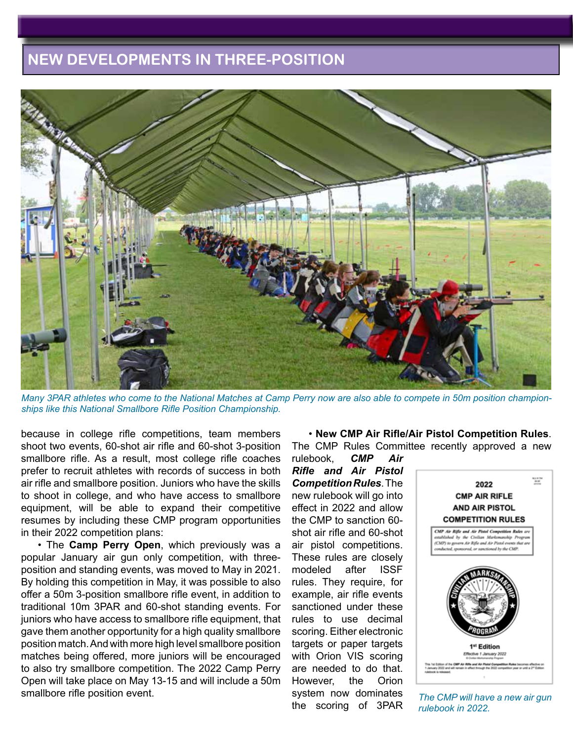# **NEW DEVELOPMENTS IN THREE-POSITION**



*Many 3PAR athletes who come to the National Matches at Camp Perry now are also able to compete in 50m position championships like this National Smallbore Rifle Position Championship.*

because in college rifle competitions, team members shoot two events, 60-shot air rifle and 60-shot 3-position smallbore rifle. As a result, most college rifle coaches prefer to recruit athletes with records of success in both air rifle and smallbore position. Juniors who have the skills to shoot in college, and who have access to smallbore equipment, will be able to expand their competitive resumes by including these CMP program opportunities in their 2022 competition plans:

• The **Camp Perry Open**, which previously was a popular January air gun only competition, with threeposition and standing events, was moved to May in 2021. By holding this competition in May, it was possible to also offer a 50m 3-position smallbore rifle event, in addition to traditional 10m 3PAR and 60-shot standing events. For juniors who have access to smallbore rifle equipment, that gave them another opportunity for a high quality smallbore position match. And with more high level smallbore position matches being offered, more juniors will be encouraged to also try smallbore competition. The 2022 Camp Perry Open will take place on May 13-15 and will include a 50m smallbore rifle position event.

• **New CMP Air Rifle/Air Pistol Competition Rules**. The CMP Rules Committee recently approved a new

rulebook, *CMP Air Rifle and Air Pistol Competition Rules*. The new rulebook will go into effect in 2022 and allow the CMP to sanction 60 shot air rifle and 60-shot air pistol competitions. These rules are closely modeled after ISSF rules. They require, for example, air rifle events sanctioned under these rules to use decimal scoring. Either electronic targets or paper targets with Orion VIS scoring are needed to do that. However, the Orion system now dominates the scoring of 3PAR



*The CMP will have a new air gun rulebook in 2022.*